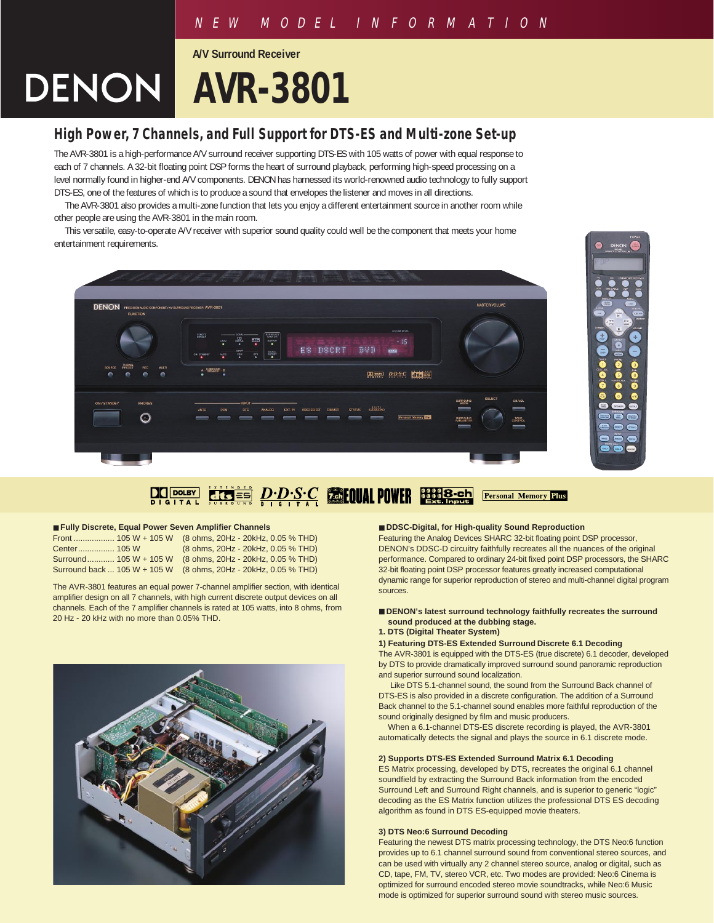# NEW MODEL INFORMATION

**A/V Surround Receiver**

# **DENON | AVR-3801**

# **High Power, 7 Channels, and Full Support for DTS-ES and Multi-zone Set-up**

The AVR-3801 is a high-performance A/V surround receiver supporting DTS-ES with 105 watts of power with equal response to each of 7 channels. A 32-bit floating point DSP forms the heart of surround playback, performing high-speed processing on a level normally found in higher-end A/V components. DENON has harnessed its world-renowned audio technology to fully support DTS-ES, one of the features of which is to produce a sound that envelopes the listener and moves in all directions.

The AVR-3801 also provides a multi-zone function that lets you enjoy a different entertainment source in another room while other people are using the AVR-3801 in the main room.

This versatile, easy-to-operate A/V receiver with superior sound quality could well be the component that meets your home entertainment requirements.





#### D.D.S.C **Collul POWER BERRE-Ch** Fersonal Memory Plus **DO DOLBY**

#### ■ **Fully Discrete, Equal Power Seven Amplifier Channels**

|  | Front  105 W + 105 W (8 ohms, 20Hz - 20kHz, 0.05 % THD)         |
|--|-----------------------------------------------------------------|
|  | (8 ohms, 20Hz - 20kHz, 0.05 % THD)                              |
|  | Surround 105 W + 105 W (8 ohms, 20Hz - 20kHz, 0.05 % THD)       |
|  | Surround back  105 W + 105 W (8 ohms, 20Hz - 20kHz, 0.05 % THD) |

The AVR-3801 features an equal power 7-channel amplifier section, with identical amplifier design on all 7 channels, with high current discrete output devices on all channels. Each of the 7 amplifier channels is rated at 105 watts, into 8 ohms, from 20 Hz - 20 kHz with no more than 0.05% THD.



#### ■ **DDSC-Digital, for High-quality Sound Reproduction**

Featuring the Analog Devices SHARC 32-bit floating point DSP processor, DENON's DDSC-D circuitry faithfully recreates all the nuances of the original performance. Compared to ordinary 24-bit fixed point DSP processors, the SHARC 32-bit floating point DSP processor features greatly increased computational dynamic range for superior reproduction of stereo and multi-channel digital program sources.

#### ■ **DENON's latest surround technology faithfully recreates the surround sound produced at the dubbing stage.**

#### **1. DTS (Digital Theater System)**

**1) Featuring DTS-ES Extended Surround Discrete 6.1 Decoding** The AVR-3801 is equipped with the DTS-ES (true discrete) 6.1 decoder, developed by DTS to provide dramatically improved surround sound panoramic reproduction and superior surround sound localization.

Like DTS 5.1-channel sound, the sound from the Surround Back channel of DTS-ES is also provided in a discrete configuration. The addition of a Surround Back channel to the 5.1-channel sound enables more faithful reproduction of the sound originally designed by film and music producers.

When a 6.1-channel DTS-ES discrete recording is played, the AVR-3801 automatically detects the signal and plays the source in 6.1 discrete mode.

#### **2) Supports DTS-ES Extended Surround Matrix 6.1 Decoding**

ES Matrix processing, developed by DTS, recreates the original 6.1 channel soundfield by extracting the Surround Back information from the encoded Surround Left and Surround Right channels, and is superior to generic "logic" decoding as the ES Matrix function utilizes the professional DTS ES decoding algorithm as found in DTS ES-equipped movie theaters.

#### **3) DTS Neo:6 Surround Decoding**

Featuring the newest DTS matrix processing technology, the DTS Neo:6 function provides up to 6.1 channel surround sound from conventional stereo sources, and can be used with virtually any 2 channel stereo source, analog or digital, such as CD, tape, FM, TV, stereo VCR, etc. Two modes are provided: Neo:6 Cinema is optimized for surround encoded stereo movie soundtracks, while Neo:6 Music mode is optimized for superior surround sound with stereo music sources.